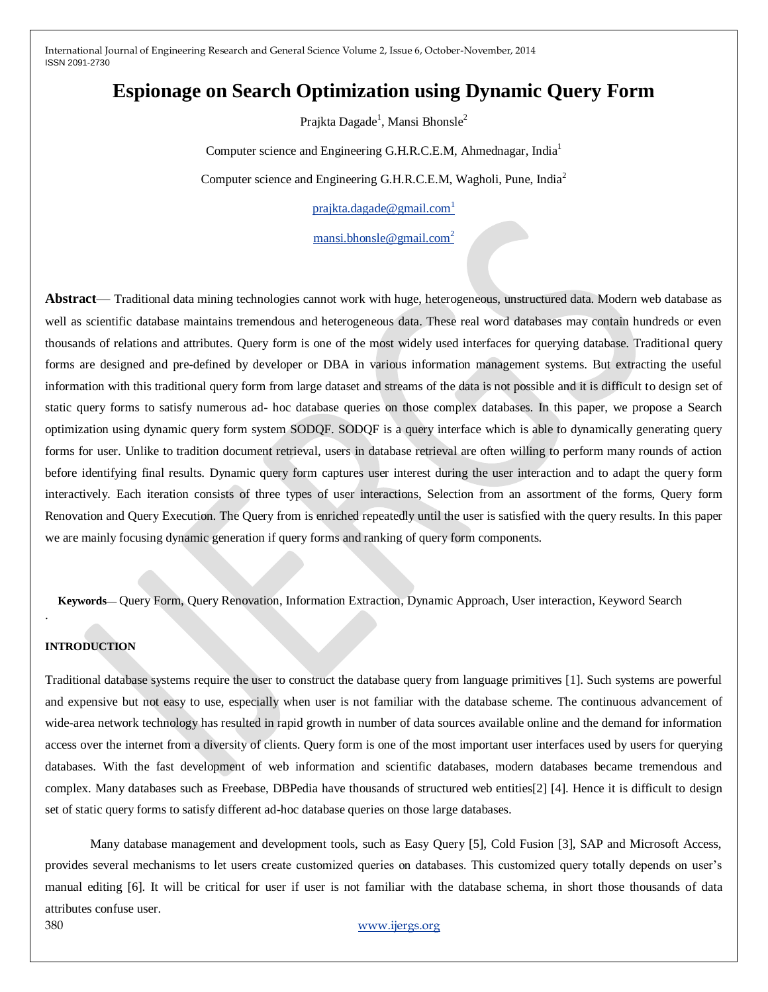# **Espionage on Search Optimization using Dynamic Query Form**

Prajkta Dagade $^{\rm l}$ , Mansi Bhonsle $^{\rm 2}$ 

Computer science and Engineering G.H.R.C.E.M, Ahmednagar, India<sup>1</sup>

Computer science and Engineering G.H.R.C.E.M, Wagholi, Pune, India<sup>2</sup>

[prajkta.dagade@gmail.com](mailto:prajkta.dagade@gmail.com)<sup>1</sup>

[mansi.bhonsle@gmail.com](mailto:mansi.bhonsle@gmail.com)<sup>2</sup>

**Abstract**— Traditional data mining technologies cannot work with huge, heterogeneous, unstructured data. Modern web database as well as scientific database maintains tremendous and heterogeneous data. These real word databases may contain hundreds or even thousands of relations and attributes. Query form is one of the most widely used interfaces for querying database. Traditional query forms are designed and pre-defined by developer or DBA in various information management systems. But extracting the useful information with this traditional query form from large dataset and streams of the data is not possible and it is difficult to design set of static query forms to satisfy numerous ad- hoc database queries on those complex databases. In this paper, we propose a Search optimization using dynamic query form system SODQF. SODQF is a query interface which is able to dynamically generating query forms for user. Unlike to tradition document retrieval, users in database retrieval are often willing to perform many rounds of action before identifying final results. Dynamic query form captures user interest during the user interaction and to adapt the query form interactively. Each iteration consists of three types of user interactions, Selection from an assortment of the forms, Query form Renovation and Query Execution. The Query from is enriched repeatedly until the user is satisfied with the query results. In this paper we are mainly focusing dynamic generation if query forms and ranking of query form components.

**Keywords—** Query Form, Query Renovation, Information Extraction, Dynamic Approach, User interaction, Keyword Search

### **INTRODUCTION**

.

Traditional database systems require the user to construct the database query from language primitives [1]. Such systems are powerful and expensive but not easy to use, especially when user is not familiar with the database scheme. The continuous advancement of wide-area network technology has resulted in rapid growth in number of data sources available online and the demand for information access over the internet from a diversity of clients. Query form is one of the most important user interfaces used by users for querying databases. With the fast development of web information and scientific databases, modern databases became tremendous and complex. Many databases such as Freebase, DBPedia have thousands of structured web entities[2] [4]. Hence it is difficult to design set of static query forms to satisfy different ad-hoc database queries on those large databases.

Many database management and development tools, such as Easy Query [5], Cold Fusion [3], SAP and Microsoft Access, provides several mechanisms to let users create customized queries on databases. This customized query totally depends on user's manual editing [6]. It will be critical for user if user is not familiar with the database schema, in short those thousands of data attributes confuse user.

380 [www.ijergs.org](http://www.ijergs.org/)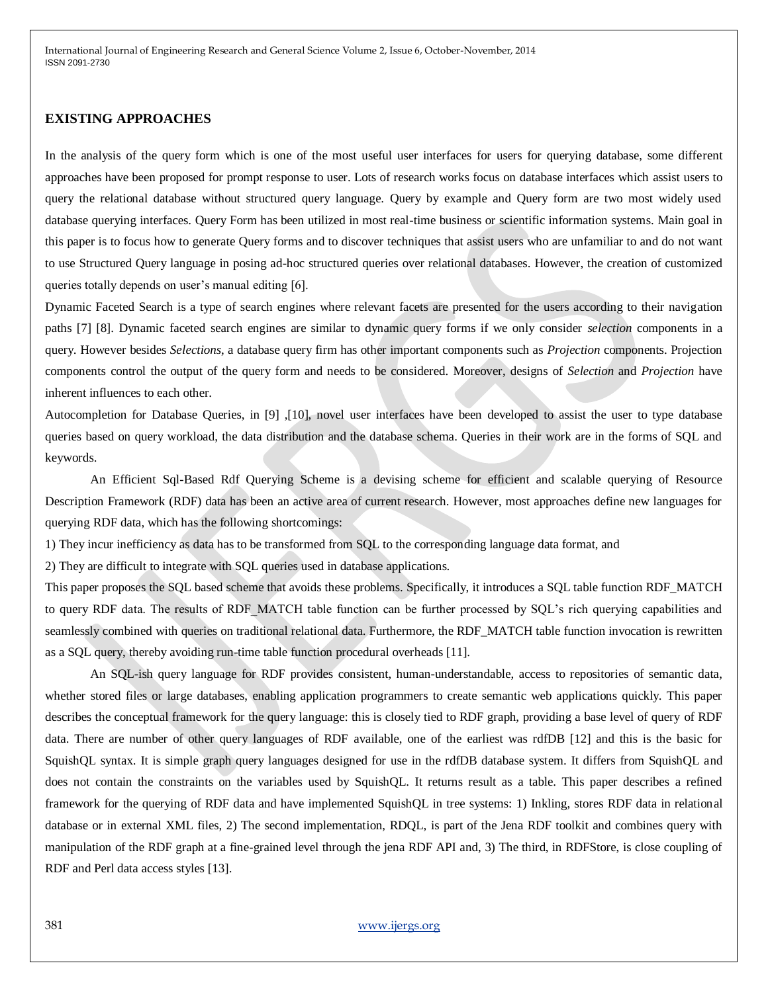### **EXISTING APPROACHES**

In the analysis of the query form which is one of the most useful user interfaces for users for querying database, some different approaches have been proposed for prompt response to user. Lots of research works focus on database interfaces which assist users to query the relational database without structured query language. Query by example and Query form are two most widely used database querying interfaces. Query Form has been utilized in most real-time business or scientific information systems. Main goal in this paper is to focus how to generate Query forms and to discover techniques that assist users who are unfamiliar to and do not want to use Structured Query language in posing ad-hoc structured queries over relational databases. However, the creation of customized queries totally depends on user's manual editing [6].

Dynamic Faceted Search is a type of search engines where relevant facets are presented for the users according to their navigation paths [7] [8]. Dynamic faceted search engines are similar to dynamic query forms if we only consider *selection* components in a query. However besides *Selections*, a database query firm has other important components such as *Projection* components. Projection components control the output of the query form and needs to be considered. Moreover, designs of *Selection* and *Projection* have inherent influences to each other.

Autocompletion for Database Queries, in [9] ,[10], novel user interfaces have been developed to assist the user to type database queries based on query workload, the data distribution and the database schema. Queries in their work are in the forms of SQL and keywords.

An Efficient Sql-Based Rdf Querying Scheme is a devising scheme for efficient and scalable querying of Resource Description Framework (RDF) data has been an active area of current research. However, most approaches define new languages for querying RDF data, which has the following shortcomings:

1) They incur inefficiency as data has to be transformed from SQL to the corresponding language data format, and

2) They are difficult to integrate with SQL queries used in database applications.

This paper proposes the SQL based scheme that avoids these problems. Specifically, it introduces a SQL table function RDF\_MATCH to query RDF data. The results of RDF\_MATCH table function can be further processed by SQL's rich querying capabilities and seamlessly combined with queries on traditional relational data. Furthermore, the RDF\_MATCH table function invocation is rewritten as a SQL query, thereby avoiding run-time table function procedural overheads [11].

An SQL-ish query language for RDF provides consistent, human-understandable, access to repositories of semantic data, whether stored files or large databases, enabling application programmers to create semantic web applications quickly. This paper describes the conceptual framework for the query language: this is closely tied to RDF graph, providing a base level of query of RDF data. There are number of other query languages of RDF available, one of the earliest was rdfDB [12] and this is the basic for SquishQL syntax. It is simple graph query languages designed for use in the rdfDB database system. It differs from SquishQL and does not contain the constraints on the variables used by SquishQL. It returns result as a table. This paper describes a refined framework for the querying of RDF data and have implemented SquishQL in tree systems: 1) Inkling, stores RDF data in relational database or in external XML files, 2) The second implementation, RDQL, is part of the Jena RDF toolkit and combines query with manipulation of the RDF graph at a fine-grained level through the jena RDF API and, 3) The third, in RDFStore, is close coupling of RDF and Perl data access styles [13].

### 381 [www.ijergs.org](http://www.ijergs.org/)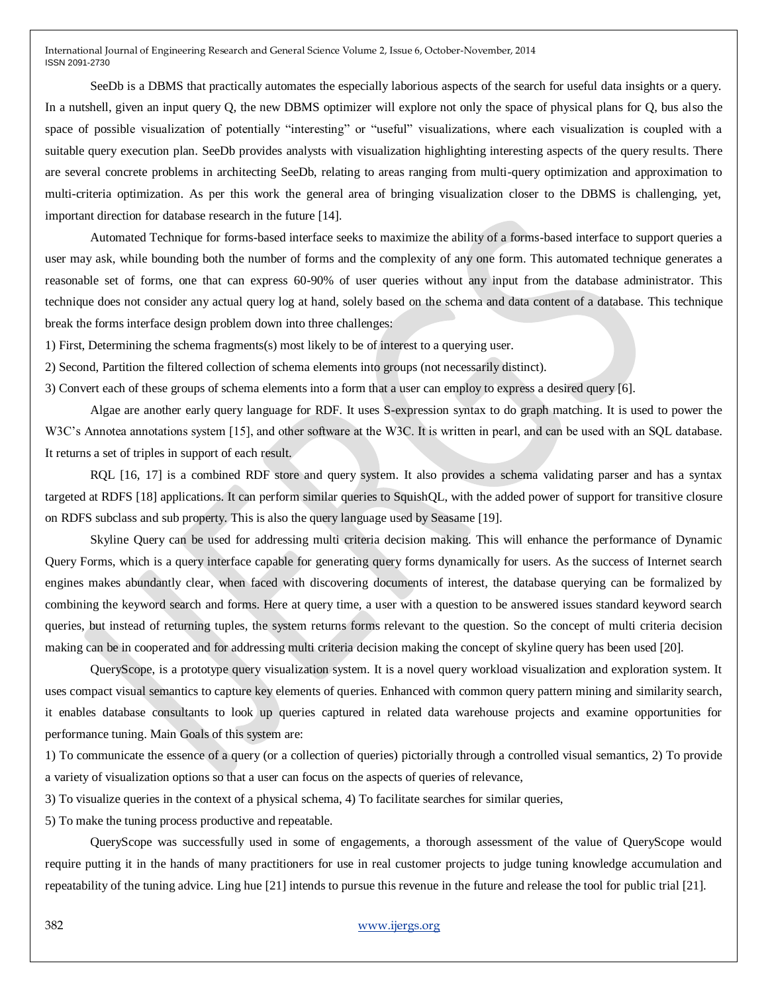SeeDb is a DBMS that practically automates the especially laborious aspects of the search for useful data insights or a query. In a nutshell, given an input query Q, the new DBMS optimizer will explore not only the space of physical plans for Q, bus also the space of possible visualization of potentially "interesting" or "useful" visualizations, where each visualization is coupled with a suitable query execution plan. SeeDb provides analysts with visualization highlighting interesting aspects of the query results. There are several concrete problems in architecting SeeDb, relating to areas ranging from multi-query optimization and approximation to multi-criteria optimization. As per this work the general area of bringing visualization closer to the DBMS is challenging, yet, important direction for database research in the future [14].

Automated Technique for forms-based interface seeks to maximize the ability of a forms-based interface to support queries a user may ask, while bounding both the number of forms and the complexity of any one form. This automated technique generates a reasonable set of forms, one that can express 60-90% of user queries without any input from the database administrator. This technique does not consider any actual query log at hand, solely based on the schema and data content of a database. This technique break the forms interface design problem down into three challenges:

1) First, Determining the schema fragments(s) most likely to be of interest to a querying user.

2) Second, Partition the filtered collection of schema elements into groups (not necessarily distinct).

3) Convert each of these groups of schema elements into a form that a user can employ to express a desired query [6].

Algae are another early query language for RDF. It uses S-expression syntax to do graph matching. It is used to power the W3C's Annotea annotations system [15], and other software at the W3C. It is written in pearl, and can be used with an SQL database. It returns a set of triples in support of each result.

RQL [16, 17] is a combined RDF store and query system. It also provides a schema validating parser and has a syntax targeted at RDFS [18] applications. It can perform similar queries to SquishQL, with the added power of support for transitive closure on RDFS subclass and sub property. This is also the query language used by Seasame [19].

Skyline Query can be used for addressing multi criteria decision making. This will enhance the performance of Dynamic Query Forms, which is a query interface capable for generating query forms dynamically for users. As the success of Internet search engines makes abundantly clear, when faced with discovering documents of interest, the database querying can be formalized by combining the keyword search and forms. Here at query time, a user with a question to be answered issues standard keyword search queries, but instead of returning tuples, the system returns forms relevant to the question. So the concept of multi criteria decision making can be in cooperated and for addressing multi criteria decision making the concept of skyline query has been used [20].

QueryScope, is a prototype query visualization system. It is a novel query workload visualization and exploration system. It uses compact visual semantics to capture key elements of queries. Enhanced with common query pattern mining and similarity search, it enables database consultants to look up queries captured in related data warehouse projects and examine opportunities for performance tuning. Main Goals of this system are:

1) To communicate the essence of a query (or a collection of queries) pictorially through a controlled visual semantics, 2) To provide a variety of visualization options so that a user can focus on the aspects of queries of relevance,

3) To visualize queries in the context of a physical schema, 4) To facilitate searches for similar queries,

5) To make the tuning process productive and repeatable.

QueryScope was successfully used in some of engagements, a thorough assessment of the value of QueryScope would require putting it in the hands of many practitioners for use in real customer projects to judge tuning knowledge accumulation and repeatability of the tuning advice. Ling hue [21] intends to pursue this revenue in the future and release the tool for public trial [21].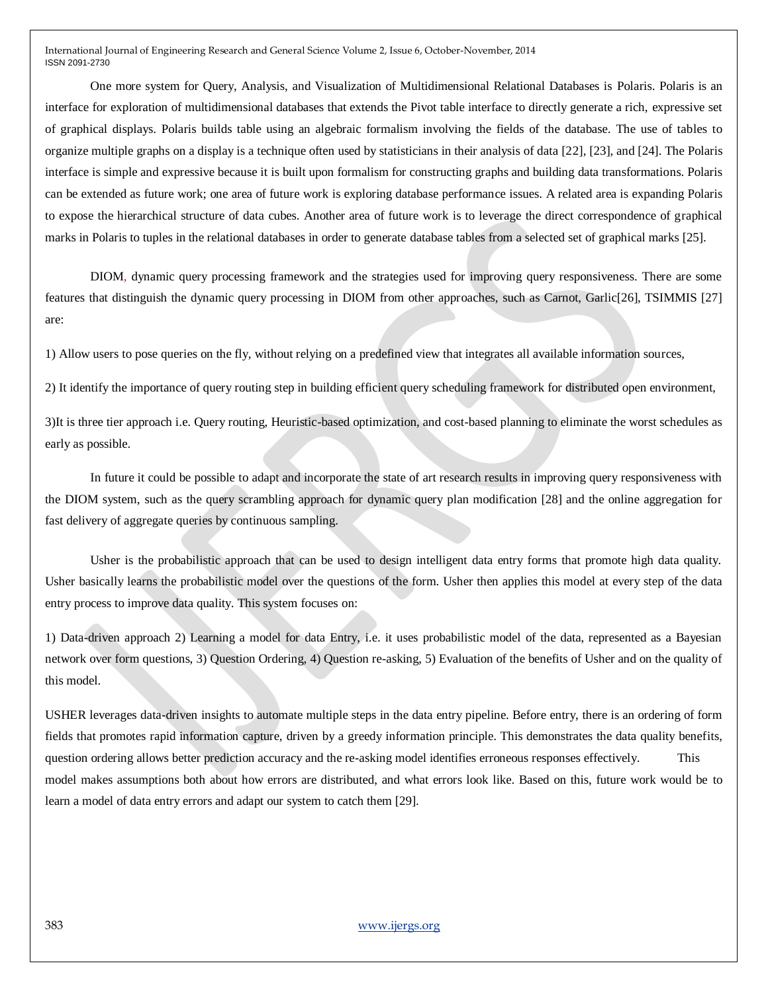One more system for Query, Analysis, and Visualization of Multidimensional Relational Databases is Polaris. Polaris is an interface for exploration of multidimensional databases that extends the Pivot table interface to directly generate a rich, expressive set of graphical displays. Polaris builds table using an algebraic formalism involving the fields of the database. The use of tables to organize multiple graphs on a display is a technique often used by statisticians in their analysis of data [22], [23], and [24]. The Polaris interface is simple and expressive because it is built upon formalism for constructing graphs and building data transformations. Polaris can be extended as future work; one area of future work is exploring database performance issues. A related area is expanding Polaris to expose the hierarchical structure of data cubes. Another area of future work is to leverage the direct correspondence of graphical marks in Polaris to tuples in the relational databases in order to generate database tables from a selected set of graphical marks [25].

DIOM, dynamic query processing framework and the strategies used for improving query responsiveness. There are some features that distinguish the dynamic query processing in DIOM from other approaches, such as Carnot, Garlic[26], TSIMMIS [27] are:

1) Allow users to pose queries on the fly, without relying on a predefined view that integrates all available information sources,

2) It identify the importance of query routing step in building efficient query scheduling framework for distributed open environment,

3)It is three tier approach i.e. Query routing, Heuristic-based optimization, and cost-based planning to eliminate the worst schedules as early as possible.

In future it could be possible to adapt and incorporate the state of art research results in improving query responsiveness with the DIOM system, such as the query scrambling approach for dynamic query plan modification [28] and the online aggregation for fast delivery of aggregate queries by continuous sampling.

Usher is the probabilistic approach that can be used to design intelligent data entry forms that promote high data quality. Usher basically learns the probabilistic model over the questions of the form. Usher then applies this model at every step of the data entry process to improve data quality. This system focuses on:

1) Data-driven approach 2) Learning a model for data Entry, i.e. it uses probabilistic model of the data, represented as a Bayesian network over form questions, 3) Question Ordering, 4) Question re-asking, 5) Evaluation of the benefits of Usher and on the quality of this model.

USHER leverages data-driven insights to automate multiple steps in the data entry pipeline. Before entry, there is an ordering of form fields that promotes rapid information capture, driven by a greedy information principle. This demonstrates the data quality benefits, question ordering allows better prediction accuracy and the re-asking model identifies erroneous responses effectively. This model makes assumptions both about how errors are distributed, and what errors look like. Based on this, future work would be to learn a model of data entry errors and adapt our system to catch them [29].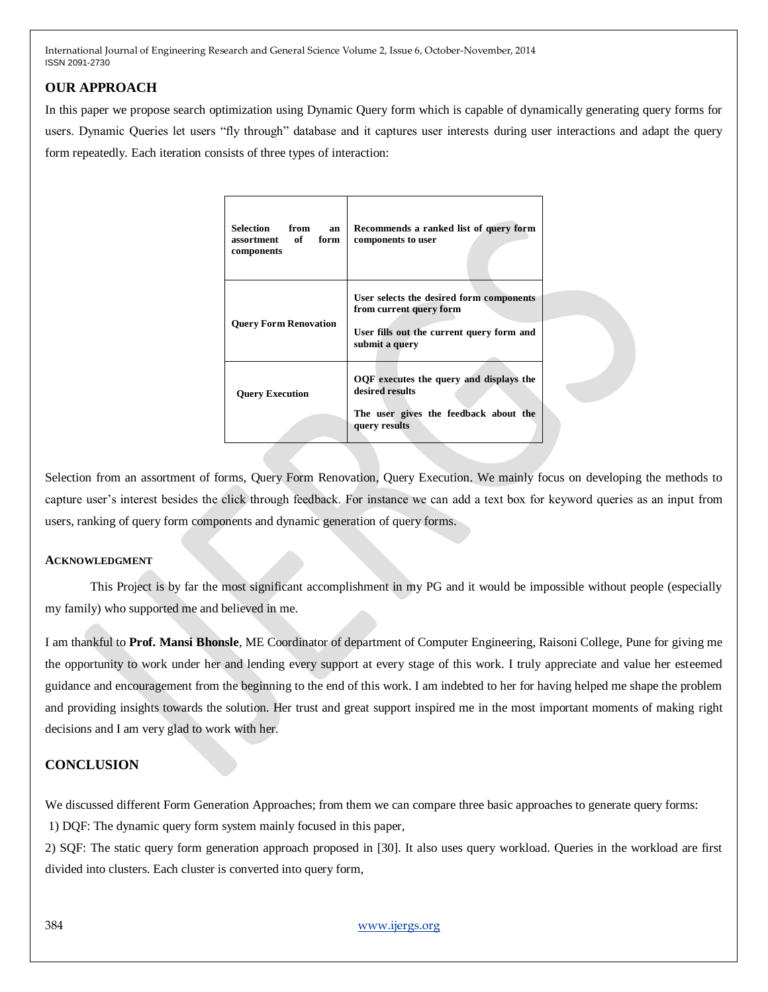# **OUR APPROACH**

In this paper we propose search optimization using Dynamic Query form which is capable of dynamically generating query forms for users. Dynamic Queries let users "fly through" database and it captures user interests during user interactions and adapt the query form repeatedly. Each iteration consists of three types of interaction:

| Selection from<br>an<br>assortment of<br>form<br>components | Recommends a ranked list of query form<br>components to user                                                                       |
|-------------------------------------------------------------|------------------------------------------------------------------------------------------------------------------------------------|
| <b>Query Form Renovation</b>                                | User selects the desired form components<br>from current query form<br>User fills out the current query form and<br>submit a query |
| <b>Query Execution</b>                                      | OQF executes the query and displays the<br>desired results<br>The user gives the feedback about the<br>query results               |

Selection from an assortment of forms, Query Form Renovation, Query Execution. We mainly focus on developing the methods to capture user's interest besides the click through feedback. For instance we can add a text box for keyword queries as an input from users, ranking of query form components and dynamic generation of query forms.

### **ACKNOWLEDGMENT**

This Project is by far the most significant accomplishment in my PG and it would be impossible without people (especially my family) who supported me and believed in me.

I am thankful to **Prof. Mansi Bhonsle**, ME Coordinator of department of Computer Engineering, Raisoni College, Pune for giving me the opportunity to work under her and lending every support at every stage of this work. I truly appreciate and value her esteemed guidance and encouragement from the beginning to the end of this work. I am indebted to her for having helped me shape the problem and providing insights towards the solution. Her trust and great support inspired me in the most important moments of making right decisions and I am very glad to work with her.

## **CONCLUSION**

We discussed different Form Generation Approaches; from them we can compare three basic approaches to generate query forms: 1) DQF: The dynamic query form system mainly focused in this paper,

2) SQF: The static query form generation approach proposed in [30]. It also uses query workload. Queries in the workload are first divided into clusters. Each cluster is converted into query form,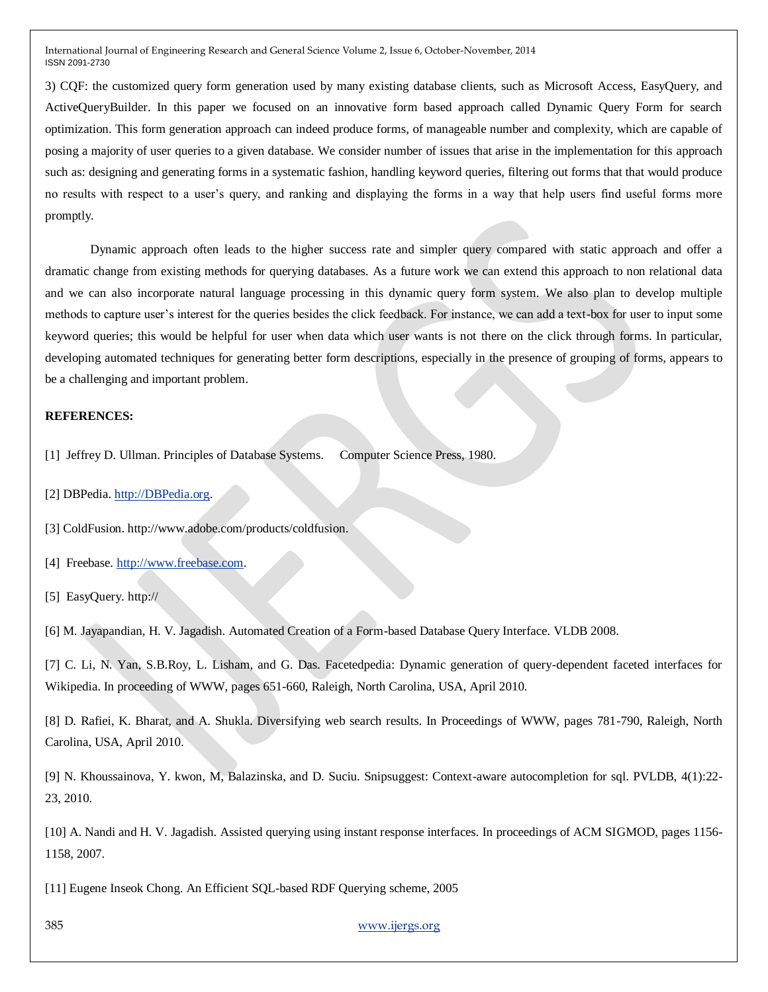3) CQF: the customized query form generation used by many existing database clients, such as Microsoft Access, EasyQuery, and ActiveQueryBuilder. In this paper we focused on an innovative form based approach called Dynamic Query Form for search optimization. This form generation approach can indeed produce forms, of manageable number and complexity, which are capable of posing a majority of user queries to a given database. We consider number of issues that arise in the implementation for this approach such as: designing and generating forms in a systematic fashion, handling keyword queries, filtering out forms that that would produce no results with respect to a user's query, and ranking and displaying the forms in a way that help users find useful forms more promptly.

Dynamic approach often leads to the higher success rate and simpler query compared with static approach and offer a dramatic change from existing methods for querying databases. As a future work we can extend this approach to non relational data and we can also incorporate natural language processing in this dynamic query form system. We also plan to develop multiple methods to capture user's interest for the queries besides the click feedback. For instance, we can add a text-box for user to input some keyword queries; this would be helpful for user when data which user wants is not there on the click through forms. In particular, developing automated techniques for generating better form descriptions, especially in the presence of grouping of forms, appears to be a challenging and important problem.

#### **REFERENCES:**

[1] Jeffrey D. Ullman. Principles of Database Systems. Computer Science Press, 1980.

[2] DBPedia. [http://DBPedia.org.](http://dbpedia.org/)

[3] ColdFusion. http://www.adobe.com/products/coldfusion.

[4] Freebase. [http://www.freebase.com.](http://www.freebase.com/)

[5] EasyQuery. http://

[6] M. Jayapandian, H. V. Jagadish. Automated Creation of a Form-based Database Query Interface. VLDB 2008.

[7] C. Li, N. Yan, S.B.Roy, L. Lisham, and G. Das. Facetedpedia: Dynamic generation of query-dependent faceted interfaces for Wikipedia. In proceeding of WWW, pages 651-660, Raleigh, North Carolina, USA, April 2010.

[8] D. Rafiei, K. Bharat, and A. Shukla. Diversifying web search results. In Proceedings of WWW, pages 781-790, Raleigh, North Carolina, USA, April 2010.

[9] N. Khoussainova, Y. kwon, M, Balazinska, and D. Suciu. Snipsuggest: Context-aware autocompletion for sql. PVLDB, 4(1):22- 23, 2010.

[10] A. Nandi and H. V. Jagadish. Assisted querying using instant response interfaces. In proceedings of ACM SIGMOD, pages 1156- 1158, 2007.

[11] Eugene Inseok Chong. An Efficient SQL-based RDF Querying scheme, 2005

385 [www.ijergs.org](http://www.ijergs.org/)